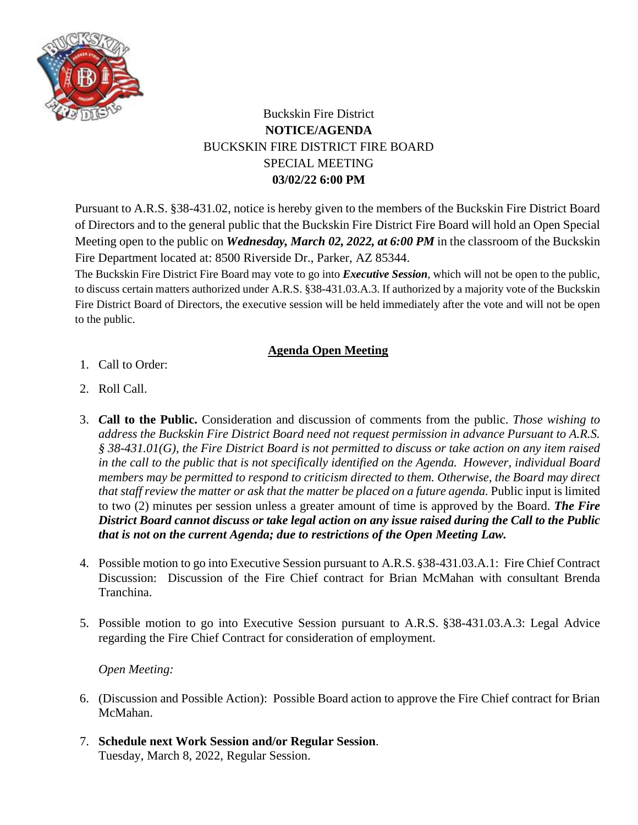

## Buckskin Fire District **NOTICE/AGENDA** BUCKSKIN FIRE DISTRICT FIRE BOARD SPECIAL MEETING **03/02/22 6:00 PM**

Pursuant to A.R.S. §38-431.02, notice is hereby given to the members of the Buckskin Fire District Board of Directors and to the general public that the Buckskin Fire District Fire Board will hold an Open Special Meeting open to the public on *Wednesday, March 02, 2022, at 6:00 PM* in the classroom of the Buckskin Fire Department located at: 8500 Riverside Dr., Parker, AZ 85344.

The Buckskin Fire District Fire Board may vote to go into *Executive Session*, which will not be open to the public, to discuss certain matters authorized under A.R.S. §38-431.03.A.3. If authorized by a majority vote of the Buckskin Fire District Board of Directors, the executive session will be held immediately after the vote and will not be open to the public.

## **Agenda Open Meeting**

- 1. Call to Order:
- 2. Roll Call.
- 3. *C***all to the Public.** Consideration and discussion of comments from the public. *Those wishing to address the Buckskin Fire District Board need not request permission in advance Pursuant to A.R.S. § 38-431.01(G), the Fire District Board is not permitted to discuss or take action on any item raised in the call to the public that is not specifically identified on the Agenda. However, individual Board members may be permitted to respond to criticism directed to them. Otherwise, the Board may direct that staff review the matter or ask that the matter be placed on a future agenda. Public input is limited* to two (2) minutes per session unless a greater amount of time is approved by the Board. *The Fire District Board cannot discuss or take legal action on any issue raised during the Call to the Public that is not on the current Agenda; due to restrictions of the Open Meeting Law.*
- 4. Possible motion to go into Executive Session pursuant to A.R.S. §38-431.03.A.1: Fire Chief Contract Discussion: Discussion of the Fire Chief contract for Brian McMahan with consultant Brenda Tranchina.
- 5. Possible motion to go into Executive Session pursuant to A.R.S. §38-431.03.A.3: Legal Advice regarding the Fire Chief Contract for consideration of employment.

## *Open Meeting:*

- 6. (Discussion and Possible Action): Possible Board action to approve the Fire Chief contract for Brian McMahan.
- 7. **Schedule next Work Session and/or Regular Session**. Tuesday, March 8, 2022, Regular Session.